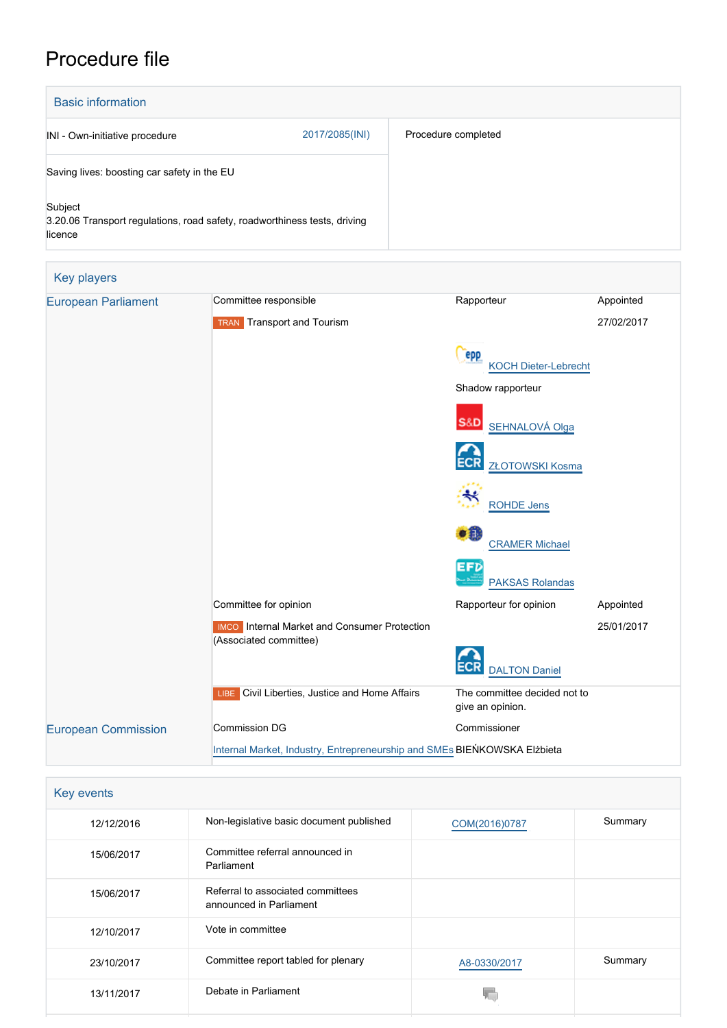# Procedure file



| Key events |                                                              |               |         |  |  |  |  |
|------------|--------------------------------------------------------------|---------------|---------|--|--|--|--|
| 12/12/2016 | Non-legislative basic document published                     | COM(2016)0787 | Summary |  |  |  |  |
| 15/06/2017 | Committee referral announced in<br>Parliament                |               |         |  |  |  |  |
| 15/06/2017 | Referral to associated committees<br>announced in Parliament |               |         |  |  |  |  |
| 12/10/2017 | Vote in committee                                            |               |         |  |  |  |  |
| 23/10/2017 | Committee report tabled for plenary                          | A8-0330/2017  | Summary |  |  |  |  |
| 13/11/2017 | Debate in Parliament                                         |               |         |  |  |  |  |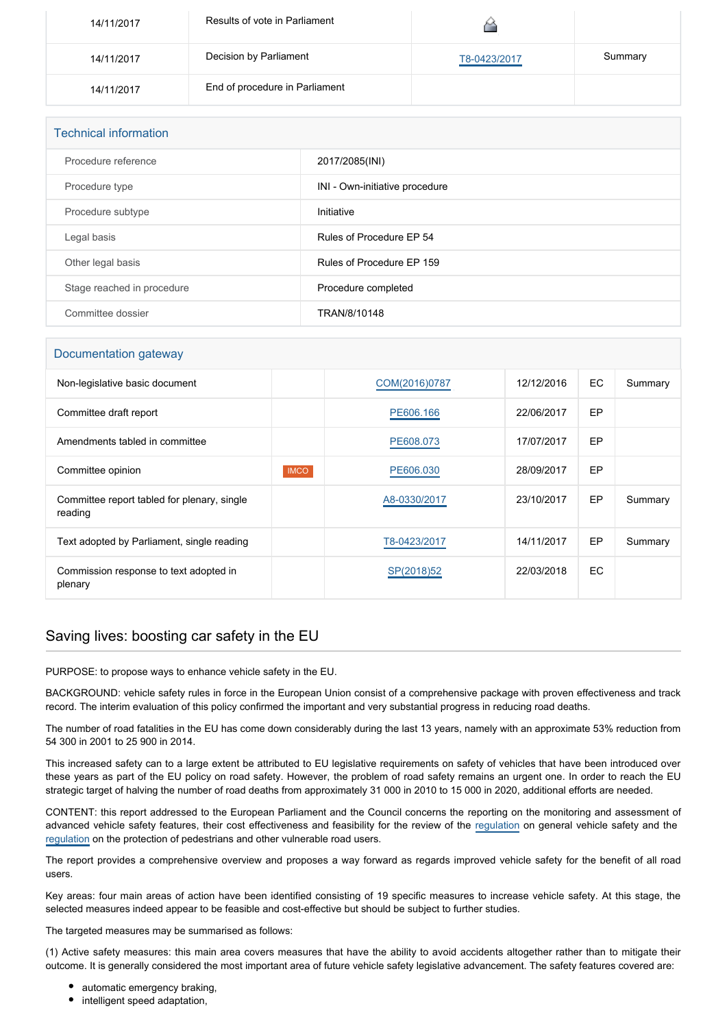| 14/11/2017 | Results of vote in Parliament  |              |         |
|------------|--------------------------------|--------------|---------|
| 14/11/2017 | Decision by Parliament         | T8-0423/2017 | Summary |
| 14/11/2017 | End of procedure in Parliament |              |         |

| <b>Technical information</b> |                                |  |  |  |
|------------------------------|--------------------------------|--|--|--|
| Procedure reference          | 2017/2085(INI)                 |  |  |  |
| Procedure type               | INI - Own-initiative procedure |  |  |  |
| Procedure subtype            | Initiative                     |  |  |  |
| Legal basis                  | Rules of Procedure EP 54       |  |  |  |
| Other legal basis            | Rules of Procedure EP 159      |  |  |  |
| Stage reached in procedure   | Procedure completed            |  |  |  |
| Committee dossier            | TRAN/8/10148                   |  |  |  |

#### Documentation gateway

| Non-legislative basic document                         |             | COM(2016)0787 | 12/12/2016 | EC | Summary |
|--------------------------------------------------------|-------------|---------------|------------|----|---------|
| Committee draft report                                 |             | PE606.166     | 22/06/2017 | EP |         |
| Amendments tabled in committee                         |             | PE608.073     | 17/07/2017 | EP |         |
| Committee opinion                                      | <b>IMCO</b> | PE606.030     | 28/09/2017 | EP |         |
| Committee report tabled for plenary, single<br>reading |             | A8-0330/2017  | 23/10/2017 | EP | Summary |
| Text adopted by Parliament, single reading             |             | T8-0423/2017  | 14/11/2017 | EP | Summary |
| Commission response to text adopted in<br>plenary      |             | SP(2018)52    | 22/03/2018 | EC |         |

### Saving lives: boosting car safety in the EU

PURPOSE: to propose ways to enhance vehicle safety in the EU.

BACKGROUND: vehicle safety rules in force in the European Union consist of a comprehensive package with proven effectiveness and track record. The interim evaluation of this policy confirmed the important and very substantial progress in reducing road deaths.

The number of road fatalities in the EU has come down considerably during the last 13 years, namely with an approximate 53% reduction from 54 300 in 2001 to 25 900 in 2014.

This increased safety can to a large extent be attributed to EU legislative requirements on safety of vehicles that have been introduced over these years as part of the EU policy on road safety. However, the problem of road safety remains an urgent one. In order to reach the EU strategic target of halving the number of road deaths from approximately 31 000 in 2010 to 15 000 in 2020, additional efforts are needed.

CONTENT: this report addressed to the European Parliament and the Council concerns the reporting on the monitoring and assessment of advanced vehicle safety features, their cost effectiveness and feasibility for the review of the [regulation](http://eur-lex.europa.eu/legal-content/EN/TXT/PDF/?uri=CELEX:02009R0661-20160701&qid=1499090260413&from=EN) on general vehicle safety and the [regulation](http://eur-lex.europa.eu/legal-content/EN/TXT/PDF/?uri=CELEX:02009R0078-20130701&qid=1499090693495&from=EN) on the protection of pedestrians and other vulnerable road users.

The report provides a comprehensive overview and proposes a way forward as regards improved vehicle safety for the benefit of all road users.

Key areas: four main areas of action have been identified consisting of 19 specific measures to increase vehicle safety. At this stage, the selected measures indeed appear to be feasible and cost-effective but should be subject to further studies.

The targeted measures may be summarised as follows:

(1) Active safety measures: this main area covers measures that have the ability to avoid accidents altogether rather than to mitigate their outcome. It is generally considered the most important area of future vehicle safety legislative advancement. The safety features covered are:

- automatic emergency braking,
- intelligent speed adaptation,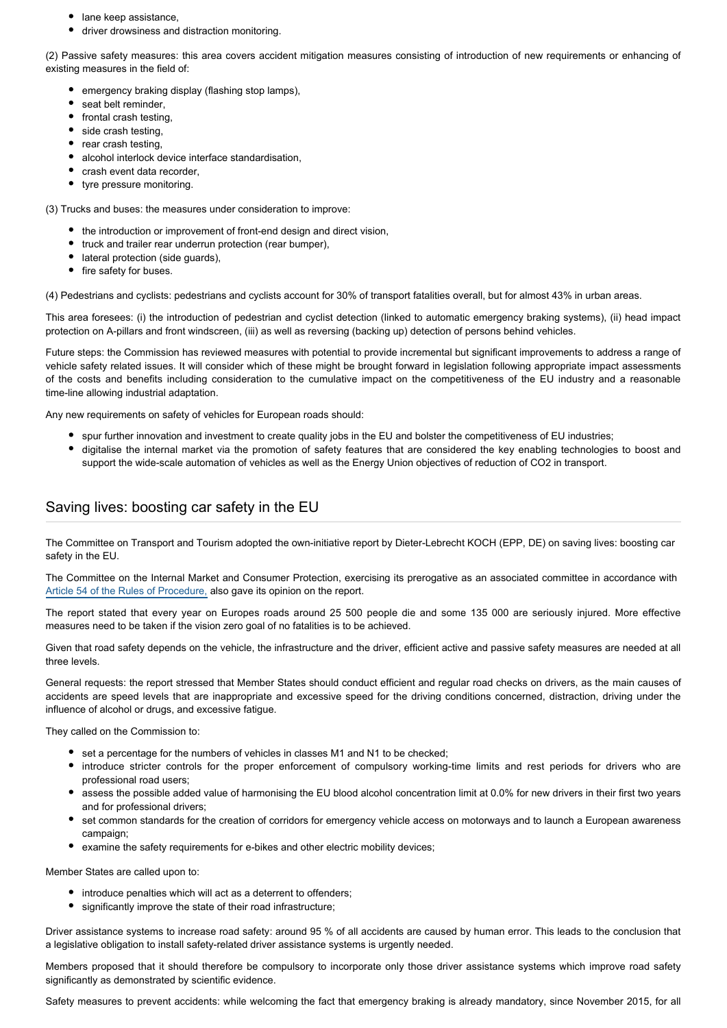- lane keep assistance,
- driver drowsiness and distraction monitoring.

(2) Passive safety measures: this area covers accident mitigation measures consisting of introduction of new requirements or enhancing of existing measures in the field of:

- **•** emergency braking display (flashing stop lamps),
- $\bullet$ seat belt reminder,
- $\bullet$ frontal crash testing,
- $\bullet$ side crash testing,
- rear crash testing.
- alcohol interlock device interface standardisation.
- crash event data recorder,
- tyre pressure monitoring.

(3) Trucks and buses: the measures under consideration to improve:

- the introduction or improvement of front-end design and direct vision,
- truck and trailer rear underrun protection (rear bumper),
- lateral protection (side guards),
- fire safety for buses.

(4) Pedestrians and cyclists: pedestrians and cyclists account for 30% of transport fatalities overall, but for almost 43% in urban areas.

This area foresees: (i) the introduction of pedestrian and cyclist detection (linked to automatic emergency braking systems), (ii) head impact protection on A-pillars and front windscreen, (iii) as well as reversing (backing up) detection of persons behind vehicles.

Future steps: the Commission has reviewed measures with potential to provide incremental but significant improvements to address a range of vehicle safety related issues. It will consider which of these might be brought forward in legislation following appropriate impact assessments of the costs and benefits including consideration to the cumulative impact on the competitiveness of the EU industry and a reasonable time-line allowing industrial adaptation.

Any new requirements on safety of vehicles for European roads should:

- spur further innovation and investment to create quality jobs in the EU and bolster the competitiveness of EU industries:
- digitalise the internal market via the promotion of safety features that are considered the key enabling technologies to boost and support the wide-scale automation of vehicles as well as the Energy Union objectives of reduction of CO2 in transport.

## Saving lives: boosting car safety in the EU

The Committee on Transport and Tourism adopted the own-initiative report by Dieter-Lebrecht KOCH (EPP, DE) on saving lives: boosting car safety in the EU.

The Committee on the Internal Market and Consumer Protection, exercising its prerogative as an associated committee in accordance with [Article 54 of the Rules of Procedure,](http://www.europarl.europa.eu/sides/getDoc.do?pubRef=-//EP//TEXT+RULES-EP+20140701+RULE-054+DOC+XML+V0//FR&navigationBar=YES) also gave its opinion on the report.

The report stated that every year on Europes roads around 25 500 people die and some 135 000 are seriously injured. More effective measures need to be taken if the vision zero goal of no fatalities is to be achieved.

Given that road safety depends on the vehicle, the infrastructure and the driver, efficient active and passive safety measures are needed at all three levels.

General requests: the report stressed that Member States should conduct efficient and regular road checks on drivers, as the main causes of accidents are speed levels that are inappropriate and excessive speed for the driving conditions concerned, distraction, driving under the influence of alcohol or drugs, and excessive fatigue.

They called on the Commission to:

- set a percentage for the numbers of vehicles in classes M1 and N1 to be checked;
- introduce stricter controls for the proper enforcement of compulsory working-time limits and rest periods for drivers who are professional road users;
- assess the possible added value of harmonising the EU blood alcohol concentration limit at 0.0% for new drivers in their first two years and for professional drivers;
- set common standards for the creation of corridors for emergency vehicle access on motorways and to launch a European awareness campaign;
- examine the safety requirements for e-bikes and other electric mobility devices;

Member States are called upon to:

- introduce penalties which will act as a deterrent to offenders;
- $\bullet$ significantly improve the state of their road infrastructure;

Driver assistance systems to increase road safety: around 95 % of all accidents are caused by human error. This leads to the conclusion that a legislative obligation to install safety-related driver assistance systems is urgently needed.

Members proposed that it should therefore be compulsory to incorporate only those driver assistance systems which improve road safety significantly as demonstrated by scientific evidence.

Safety measures to prevent accidents: while welcoming the fact that emergency braking is already mandatory, since November 2015, for all